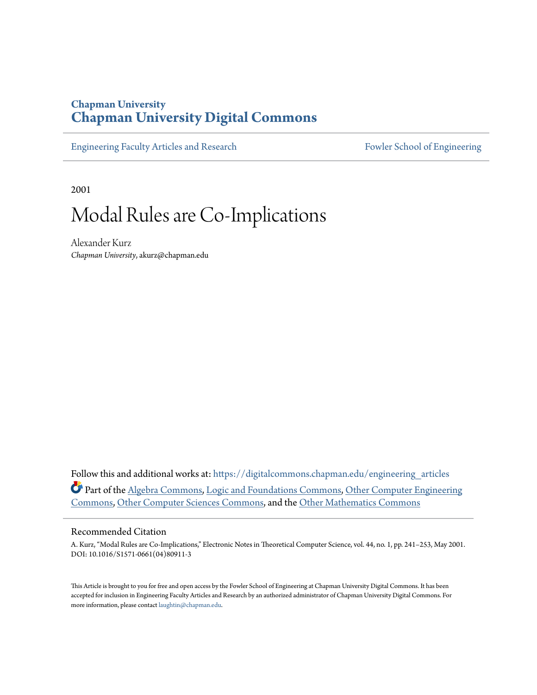### **Chapman University [Chapman University Digital Commons](https://digitalcommons.chapman.edu?utm_source=digitalcommons.chapman.edu%2Fengineering_articles%2F35&utm_medium=PDF&utm_campaign=PDFCoverPages)**

[Engineering Faculty Articles and Research](https://digitalcommons.chapman.edu/engineering_articles?utm_source=digitalcommons.chapman.edu%2Fengineering_articles%2F35&utm_medium=PDF&utm_campaign=PDFCoverPages) [Fowler School of Engineering](https://digitalcommons.chapman.edu/fowler_engineering?utm_source=digitalcommons.chapman.edu%2Fengineering_articles%2F35&utm_medium=PDF&utm_campaign=PDFCoverPages)

2001

# Modal Rules are Co-Implications

Alexander Kurz *Chapman University*, akurz@chapman.edu

Follow this and additional works at: [https://digitalcommons.chapman.edu/engineering\\_articles](https://digitalcommons.chapman.edu/engineering_articles?utm_source=digitalcommons.chapman.edu%2Fengineering_articles%2F35&utm_medium=PDF&utm_campaign=PDFCoverPages) Part of the [Algebra Commons,](http://network.bepress.com/hgg/discipline/175?utm_source=digitalcommons.chapman.edu%2Fengineering_articles%2F35&utm_medium=PDF&utm_campaign=PDFCoverPages) [Logic and Foundations Commons](http://network.bepress.com/hgg/discipline/182?utm_source=digitalcommons.chapman.edu%2Fengineering_articles%2F35&utm_medium=PDF&utm_campaign=PDFCoverPages), [Other Computer Engineering](http://network.bepress.com/hgg/discipline/265?utm_source=digitalcommons.chapman.edu%2Fengineering_articles%2F35&utm_medium=PDF&utm_campaign=PDFCoverPages) [Commons,](http://network.bepress.com/hgg/discipline/265?utm_source=digitalcommons.chapman.edu%2Fengineering_articles%2F35&utm_medium=PDF&utm_campaign=PDFCoverPages) [Other Computer Sciences Commons,](http://network.bepress.com/hgg/discipline/152?utm_source=digitalcommons.chapman.edu%2Fengineering_articles%2F35&utm_medium=PDF&utm_campaign=PDFCoverPages) and the [Other Mathematics Commons](http://network.bepress.com/hgg/discipline/185?utm_source=digitalcommons.chapman.edu%2Fengineering_articles%2F35&utm_medium=PDF&utm_campaign=PDFCoverPages)

#### Recommended Citation

A. Kurz, "Modal Rules are Co-Implications," Electronic Notes in Theoretical Computer Science, vol. 44, no. 1, pp. 241–253, May 2001. DOI: 10.1016/S1571-0661(04)80911-3

This Article is brought to you for free and open access by the Fowler School of Engineering at Chapman University Digital Commons. It has been accepted for inclusion in Engineering Faculty Articles and Research by an authorized administrator of Chapman University Digital Commons. For more information, please contact [laughtin@chapman.edu](mailto:laughtin@chapman.edu).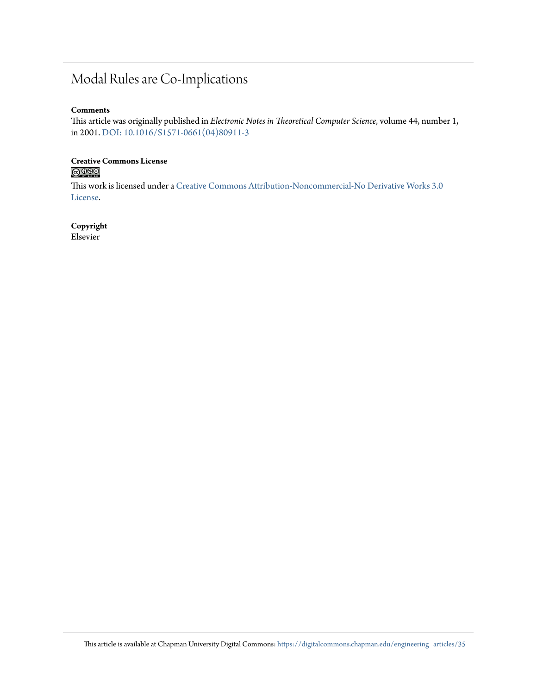### Modal Rules are Co-Implications

#### **Comments**

This article was originally published in *Electronic Notes in Theoretical Computer Science*, volume 44, number 1, in 2001. [DOI: 10.1016/S1571-0661\(04\)80911-3](https://doi.org/10.1016/S1571-0661(04)80911-3)

# Creative Commons License<br> **COOSO**

This work is licensed under a [Creative Commons Attribution-Noncommercial-No Derivative Works 3.0](https://creativecommons.org/licenses/by-nc-nd/3.0/) [License.](https://creativecommons.org/licenses/by-nc-nd/3.0/)

#### **Copyright**

Elsevier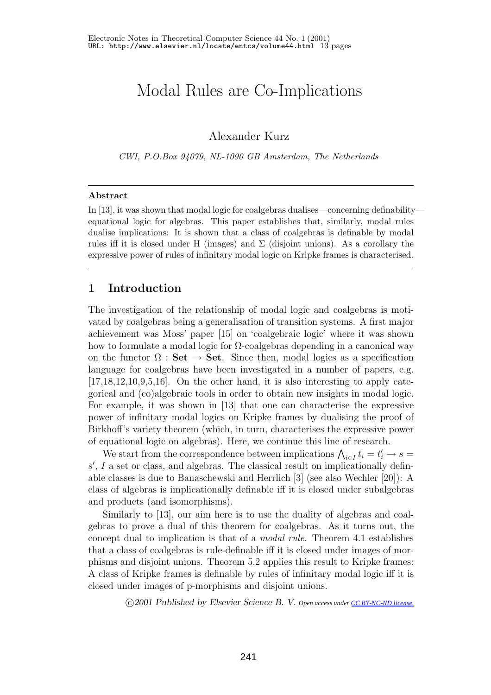## Modal Rules are Co-Implications

Alexander Kurz

*CWI, P.O.Box 94079, NL-1090 GB Amsterdam, The Netherlands*

### **Abstract**

In [13], it was shown that modal logic for coalgebras dualises—concerning definability equational logic for algebras. This paper establishes that, similarly, modal rules dualise implications:It is shown that a class of coalgebras is definable by modal rules iff it is closed under H (images) and  $\Sigma$  (disjoint unions). As a corollary the expressive power of rules of infinitary modal logic on Kripke frames is characterised.

### **1 Introduction**

The investigation of the relationship of modal logic and coalgebras is motivated by coalgebras being a generalisation of transition systems. A first major achievement was Moss'paper [15] on 'coalgebraic logic'where it was shown how to formulate a modal logic for  $\Omega$ -coalgebras depending in a canonical way on the functor  $\Omega$  : **Set**  $\rightarrow$  **Set**. Since then, modal logics as a specification language for coalgebras have been investigated in a number of papers, e.g.  $[17,18,12,10,9,5,16]$ . On the other hand, it is also interesting to apply categorical and (co)algebraic tools in order to obtain new insights in modal logic. For example, it was shown in [13] that one can characterise the expressive power of infinitary modal logics on Kripke frames by dualising the proof of Birkhoff's variety theorem (which, in turn, characterises the expressive power of equational logic on algebras). Here, we continue this line of research.

We start from the correspondence between implications  $\bigwedge_{i \in I} t_i = t'_i \to s =$ <br>La set or class, and algebras. The classical result on implicationally defins', I a set or class, and algebras. The classical result on implicationally defin-<br>able classes is due to Banaschewski and Herrlich [3] (see also Wechler [20]). A able classes is due to Banaschewski and Herrlich [3] (see also Wechler [20]): A class of algebras is implicationally definable iff it is closed under subalgebras and products (and isomorphisms).

Similarly to [13], our aim here is to use the duality of algebras and coalgebras to prove a dual of this theorem for coalgebras. As it turns out, the concept dual to implication is that of a *modal rule*. Theorem 4.1 establishes that a class of coalgebras is rule-definable iff it is closed under images of morphisms and disjoint unions. Theorem 5.2 applies this result to Kripke frames: A class of Kripke frames is definable by rules of infinitary modal logic iff it is closed under images of p-morphisms and disjoint unions.

-c *2001 Published by Elsevier Science B. V. Open access under [CC BY-NC-ND license.](http://creativecommons.org/licenses/by-nc-nd/3.0/)*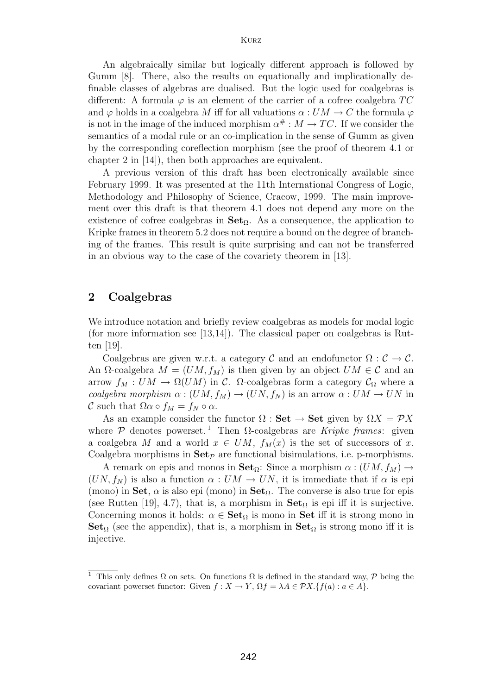An algebraically similar but logically different approach is followed by Gumm [8]. There, also the results on equationally and implicationally definable classes of algebras are dualised. But the logic used for coalgebras is different: A formula  $\varphi$  is an element of the carrier of a cofree coalgebra TC and  $\varphi$  holds in a coalgebra M iff for all valuations  $\alpha: UM \to C$  the formula  $\varphi$ is not in the image of the induced morphism  $\alpha^{\#}: M \to TC$ . If we consider the semantics of a modal rule or an co-implication in the sense of Gumm as given by the corresponding coreflection morphism (see the proof of theorem 4.1 or chapter 2 in [14]), then both approaches are equivalent.

A previous version of this draft has been electronically available since February 1999. It was presented at the 11th International Congress of Logic, Methodology and Philosophy of Science, Cracow, 1999. The main improvement over this draft is that theorem 4.1 does not depend any more on the existence of cofree coalgebras in **Set**Ω. As a consequence, the application to Kripke frames in theorem 5.2 does not require a bound on the degree of branching of the frames. This result is quite surprising and can not be transferred in an obvious way to the case of the covariety theorem in [13].

#### **2 Coalgebras**

We introduce notation and briefly review coalgebras as models for modal logic (for more information see  $[13,14]$ ). The classical paper on coalgebras is Rutten [19].

Coalgebras are given w.r.t. a category C and an endofunctor  $\Omega : \mathcal{C} \to \mathcal{C}$ . An  $\Omega$ -coalgebra  $M = (UM, f_M)$  is then given by an object  $UM \in \mathcal{C}$  and an arrow  $f_M : UM \to \Omega(UM)$  in C.  $\Omega$ -coalgebras form a category  $\mathcal{C}_{\Omega}$  where a *coalgebra morphism*  $\alpha$  :  $(UM, f_M) \rightarrow (UN, f_N)$  is an arrow  $\alpha$  :  $UM \rightarrow UN$  in C such that  $\Omega \alpha \circ f_M = f_N \circ \alpha$ .

As an example consider the functor  $\Omega$  : **Set**  $\rightarrow$  **Set** given by  $\Omega X = \mathcal{P}X$ where  $\mathcal P$  denotes powerset.<sup>1</sup> Then  $\Omega$ -coalgebras are *Kripke frames*: given a coalgebra M and a world  $x \in UM$ ,  $f_M(x)$  is the set of successors of x. Coalgebra morphisms in  $\mathbf{Set}_{\mathcal{P}}$  are functional bisimulations, i.e. p-morphisms.

A remark on epis and monos in **Set**<sub>Ω</sub>: Since a morphism  $\alpha$  :  $(UM, f_M) \rightarrow$  $(UN, f_N)$  is also a function  $\alpha: UM \to UN$ , it is immediate that if  $\alpha$  is epi (mono) in **Set**,  $\alpha$  is also epi (mono) in **Set**<sub> $\Omega$ </sub>. The converse is also true for epis (see Rutten [19], 4.7), that is, a morphism in  $\textbf{Set}_{\Omega}$  is epi iff it is surjective. Concerning monos it holds:  $\alpha \in \mathbf{Set}_{\Omega}$  is mono in **Set** iff it is strong mono in **Set**<sub> $\Omega$ </sub> (see the appendix), that is, a morphism in **Set**<sub> $\Omega$ </sub> is strong mono iff it is injective.

<sup>&</sup>lt;sup>1</sup> This only defines  $\Omega$  on sets. On functions  $\Omega$  is defined in the standard way,  $\mathcal P$  being the covariant powerset functor: Given  $f : X \to Y$ ,  $\Omega f = \lambda A \in \mathcal{P}X$ . {  $f(a) : a \in A$  }.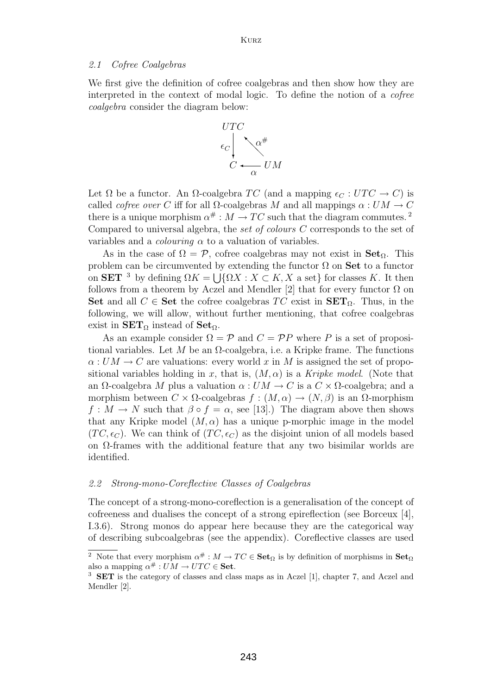#### *2.1 Cofree Coalgebras*

We first give the definition of cofree coalgebras and then show how they are interpreted in the context of modal logic. To define the notion of a *cofree coalgebra* consider the diagram below:



Let  $\Omega$  be a functor. An  $\Omega$ -coalgebra TC (and a mapping  $\epsilon_C : UTC \to C$ ) is called *cofree over* C iff for all  $\Omega$ -coalgebras M and all mappings  $\alpha : UM \to C$ there is a unique morphism  $\alpha^* : M \to TC$  such that the diagram commutes.<sup>2</sup> Compared to universal algebra, the *set of colours* C corresponds to the set of variables and a *colouring*  $\alpha$  to a valuation of variables.

As in the case of  $\Omega = \mathcal{P}$ , cofree coalgebras may not exist in **Set**<sub> $\Omega$ </sub>. This problem can be circumvented by extending the functor Ω on **Set** to a functor on **SET** <sup>3</sup> by defining  $\Omega K = \bigcup \{ \Omega X : X \subset K, X$  a set} for classes K. It then follows from a theorem by Aczel and Mendler [2] that for every functor Q on follows from a theorem by Aczel and Mendler [2] that for every functor  $\Omega$  on **Set** and all *C* ∈ **Set** the cofree coalgebras *TC* exist in **SET**<sub>Ω</sub>. Thus, in the following, we will allow, without further mentioning, that cofree coalgebras exist in  $SET_{\Omega}$  instead of  $Set_{\Omega}$ .

As an example consider  $\Omega = \mathcal{P}$  and  $C = \mathcal{P}P$  where P is a set of propositional variables. Let M be an  $\Omega$ -coalgebra, i.e. a Kripke frame. The functions  $\alpha: UM \to C$  are valuations: every world x in M is assigned the set of propositional variables holding in x, that is,  $(M, \alpha)$  is a *Kripke model*. (Note that an  $\Omega$ -coalgebra M plus a valuation  $\alpha: UM \to C$  is a  $C \times \Omega$ -coalgebra; and a morphism between  $C \times \Omega$ -coalgebras  $f : (M, \alpha) \to (N, \beta)$  is an  $\Omega$ -morphism  $f: M \to N$  such that  $\beta \circ f = \alpha$ , see [13].) The diagram above then shows that any Kripke model  $(M, \alpha)$  has a unique p-morphic image in the model  $(TC, \epsilon_C)$ . We can think of  $(TC, \epsilon_C)$  as the disjoint union of all models based on  $\Omega$ -frames with the additional feature that any two bisimilar worlds are identified.

#### *2.2 Strong-mono-Coreflective Classes of Coalgebras*

The concept of a strong-mono-coreflection is a generalisation of the concept of cofreeness and dualises the concept of a strong epireflection (see Borceux [4], I.3.6). Strong monos do appear here because they are the categorical way of describing subcoalgebras (see the appendix). Coreflective classes are used

<sup>&</sup>lt;sup>2</sup> Note that every morphism  $\alpha^{\#}: M \to TC \in \mathbf{Set}_{\Omega}$  is by definition of morphisms in  $\mathbf{Set}_{\Omega}$ also a mapping  $\alpha^{\#}: UM \to UTC \in \mathbf{Set}.$ 

**SET** is the category of classes and class maps as in Aczel [1], chapter 7, and Aczel and Mendler [2].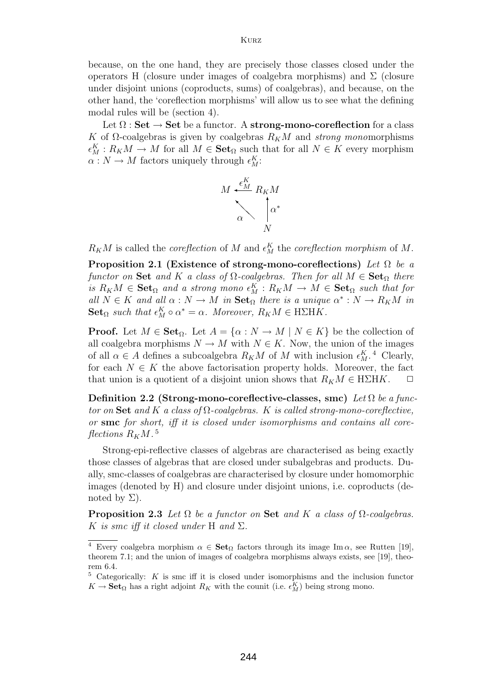because, on the one hand, they are precisely those classes closed under the operators H (closure under images of coalgebra morphisms) and  $\Sigma$  (closure under disjoint unions (coproducts, sums) of coalgebras), and because, on the other hand, the 'coreflection morphisms'will allow us to see what the defining modal rules will be (section 4).

Let  $\Omega$  : **Set**  $\rightarrow$  **Set** be a functor. A **strong-mono-coreflection** for a class K of  $\Omega$ -coalgebras is given by coalgebras  $R_KM$  and *strong monorrophisms*  $\epsilon_M^K : R_K M \to M$  for all  $M \in \mathbf{Set}_{\Omega}$  such that for all  $N \in K$  every morphism  $\alpha : N \to M$  factors uniquely through  $\epsilon^K$ .  $\alpha: N \to M$  factors uniquely through  $\epsilon_M^K$ :



 $R_K M$  is called the *coreflection* of M and  $\epsilon_M^K$  the *coreflection morphism* of M.

**Proposition 2.1 (Existence of strong-mono-coreflections)** *Let* Ω *be a functor on* **Set** and K a class of  $\Omega$ -coalgebras. Then for all  $M \in \mathbf{Set}_{\Omega}$  there  $i s \ R_K M \in \mathbf{Set}_{\Omega}$  and a strong mono  $\epsilon_M^K : R_K M \to M \in \mathbf{Set}_{\Omega}$  such that for  $\epsilon_M^{H} \in K$  and  $\epsilon_M^{H} \in M \to M$  in  $\mathbf{Set}_{\Omega}$  there is a unique  $\alpha^* : N \to R_K M$  in *all*  $N \in K$  *and all*  $\alpha : N \to M$  *in*  $\textbf{Set}_{\Omega}$  *there is a unique*  $\alpha^* : N \to R_K M$  *in* **Set**<sub> $\Omega$ </sub> *such that*  $\epsilon_M^K \circ \alpha^* = \alpha$ *. Moreover,*  $R_K M \in H\Sigma HK$ *.* 

**Proof.** Let  $M \in \mathbf{Set}_{\Omega}$ . Let  $A = \{ \alpha : N \to M \mid N \in K \}$  be the collection of all coalgebra morphisms  $N \to M$  with  $N \in K$ . Now, the union of the images of all  $\alpha \in A$  defines a subcoalgebra  $R_K M$  of M with inclusion  $\epsilon_M^K$ .<sup>4</sup> Clearly,<br>for each  $N \in K$  the above factorisation property holds. Moreover, the fact for each  $N \in K$  the above factorisation property holds. Moreover, the fact that union is a quotient of a disjoint union shows that  $R_K M \in H\Sigma$ HK.

**Definition 2.2 (Strong-mono-coreflective-classes, smc)** *Let* Ω *be a functor on* **Set** *and* K *a class of* <sup>Ω</sup>*-coalgebras.* K *is called strong-mono-coreflective, or* **smc** *for short, iff it is closed under isomorphisms and contains all coreflections*  $R_K M$ .<sup>5</sup>

Strong-epi-reflective classes of algebras are characterised as being exactly those classes of algebras that are closed under subalgebras and products. Dually, smc-classes of coalgebras are characterised by closure under homomorphic images (denoted by H) and closure under disjoint unions, i.e. coproducts (denoted by  $\Sigma$ ).

**Proposition 2.3** *Let*  $\Omega$  *be a functor on* **Set** *and* K *a class of*  $\Omega$ *-coalgebras.* K *is smc iff it closed under* H *and*  $\Sigma$ *.* 

<sup>&</sup>lt;sup>4</sup> Every coalgebra morphism  $\alpha \in \mathbf{Set}_{\Omega}$  factors through its image Im  $\alpha$ , see Rutten [19], theorem 7.1; and the union of images of coalgebra morphisms always exists, see [19], theorem 6.4

 $5$  Categorically: K is smc iff it is closed under isomorphisms and the inclusion functor  $K \to \mathbf{Set}_{\Omega}$  has a right adjoint  $R_K$  with the counit (i.e.  $\epsilon_M^K$ ) being strong mono.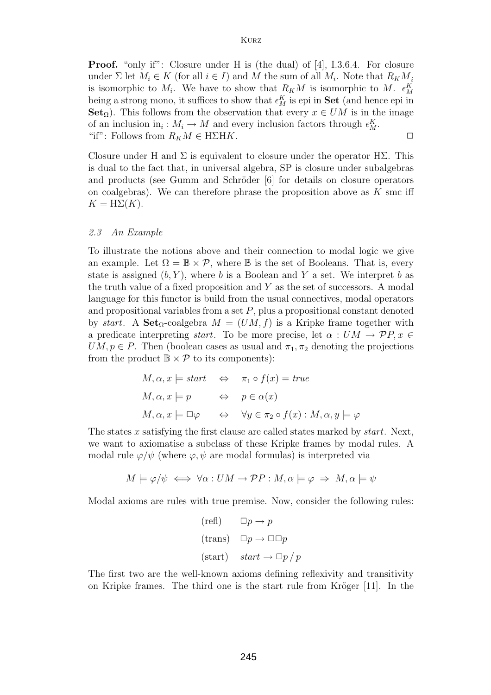**Proof.** "only if": Closure under H is (the dual) of [4], I.3.6.4. For closure under  $\Sigma$  let  $M_i \in K$  (for all  $i \in I$ ) and M the sum of all  $M_i$ . Note that  $R_K M_i$ is isomorphic to  $M_i$ . We have to show that  $R_K M$  is isomorphic to  $M$ .  $\epsilon_M^K$ <br>boing a strong mono, it suffices to show that  $\epsilon_K^K$  is oni in **Sot** (and hones oni in being a strong mono, it suffices to show that  $\epsilon_M^K$  is epi in **Set** (and hence epi in **Set**  $\epsilon_M$ ). This follows from the observation that every  $x \in I/M$  is in the image **Set**<sub>Ω</sub>). This follows from the observation that every  $x \in UM$  is in the image of an inclusion in<sub>i</sub>:  $M_i \to M$  and every inclusion factors through  $\epsilon_M^K$ .<br>
"if": Follows from  $R_M M \subset H\Sigma H K$ "if": Follows from  $R_K M \in H\Sigma HK$ .

Closure under H and  $\Sigma$  is equivalent to closure under the operator H $\Sigma$ . This is dual to the fact that, in universal algebra, SP is closure under subalgebras and products (see Gumm and Schröder [6] for details on closure operators on coalgebras). We can therefore phrase the proposition above as  $K$  smc iff  $K = H\Sigma(K)$ .

#### *2.3 An Example*

To illustrate the notions above and their connection to modal logic we give an example. Let  $\Omega = \mathbb{B} \times \mathcal{P}$ , where  $\mathbb{B}$  is the set of Booleans. That is, every state is assigned  $(b, Y)$ , where b is a Boolean and Y a set. We interpret b as the truth value of a fixed proposition and  $Y$  as the set of successors. A modal language for this functor is build from the usual connectives, modal operators and propositional variables from a set  $P$ , plus a propositional constant denoted by *start*. A **Set**<sub>Ω</sub>-coalgebra  $M = (UM, f)$  is a Kripke frame together with a predicate interpreting *start*. To be more precise, let  $\alpha : UM \to \mathcal{P}P, x \in$  $UM, p \in P$ . Then (boolean cases as usual and  $\pi_1, \pi_2$  denoting the projections from the product  $\mathbb{B} \times \mathcal{P}$  to its components):

$$
M, \alpha, x \models start \Leftrightarrow \pi_1 \circ f(x) = true
$$
  

$$
M, \alpha, x \models p \Leftrightarrow p \in \alpha(x)
$$
  

$$
M, \alpha, x \models \Box \varphi \Leftrightarrow \forall y \in \pi_2 \circ f(x) : M, \alpha, y \models \varphi
$$

The states x satisfying the first clause are called states marked by *start*. Next, we want to axiomatise a subclass of these Kripke frames by modal rules. A modal rule  $\varphi/\psi$  (where  $\varphi, \psi$  are modal formulas) is interpreted via

$$
M \models \varphi/\psi \iff \forall \alpha : UM \to \mathcal{P}P : M, \alpha \models \varphi \Rightarrow M, \alpha \models \psi
$$

Modal axioms are rules with true premise. Now, consider the following rules:

$$
\begin{aligned}\n(\text{refl}) & \Box p \to p \\
(\text{trans}) & \Box p \to \Box \Box p \\
(\text{start}) & \text{start} \to \Box p / p\n\end{aligned}
$$

The first two are the well-known axioms defining reflexivity and transitivity on Kripke frames. The third one is the start rule from Kröger  $[11]$ . In the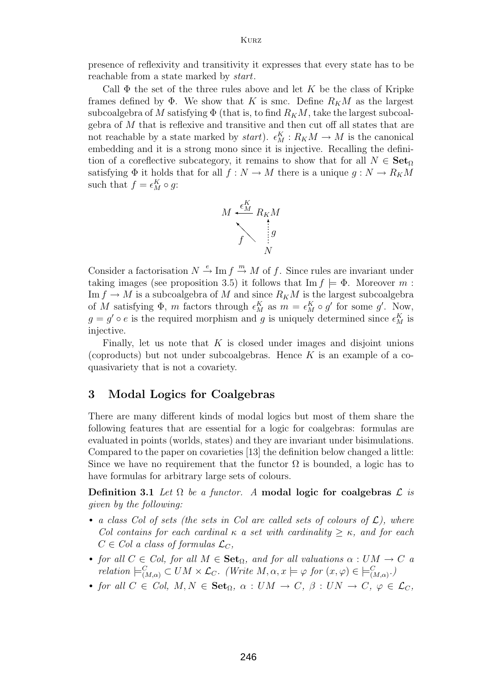Kurz

presence of reflexivity and transitivity it expresses that every state has to be reachable from a state marked by *start*.

Call  $\Phi$  the set of the three rules above and let K be the class of Kripke frames defined by  $\Phi$ . We show that K is smc. Define  $R_K M$  as the largest subcoalgebra of M satisfying  $\Phi$  (that is, to find  $R_KM$ , take the largest subcoalgebra of M that is reflexive and transitive and then cut off all states that are not reachable by a state marked by  $start$ ).  $\epsilon_M^K : R_K M \to M$  is the canonical<br>embedding and it is a strong mono since it is injective. Recalling the definiembedding and it is a strong mono since it is injective. Recalling the definition of a coreflective subcategory, it remains to show that for all  $N \in \mathbf{Set}_{\Omega}$ satisfying  $\Phi$  it holds that for all  $f : N \to M$  there is a unique  $g : N \to R_K M$ such that  $f = \epsilon_M^K \circ g$ :



Consider a factorisation  $N \stackrel{e}{\rightarrow} \text{Im } f \stackrel{m}{\rightarrow} M$  of f. Since rules are invariant under<br>taking images (see proposition 3.5) it follows that  $\text{Im } f \models \Phi$ . Moreover m. taking images (see proposition 3.5) it follows that  $\text{Im } f \models \Phi$ . Moreover m: Im  $f \to M$  is a subcoalgebra of M and since  $R_K M$  is the largest subcoalgebra of M satisfying  $\Phi$ , m factors through  $\epsilon_M^K$  as  $m = \epsilon_M^K \circ g'$  for some g'. Now,<br>  $g = g' \circ g$  is the required morphism and g is uniquely determined since  $\epsilon_K^K$  is  $g = g' \circ e$  is the required morphism and g is uniquely determined since  $\epsilon_M^K$  is injective. injective.

Finally, let us note that  $K$  is closed under images and disjoint unions (coproducts) but not under subcoalgebras. Hence  $K$  is an example of a coquasivariety that is not a covariety.

#### **3 Modal Logics for Coalgebras**

There are many different kinds of modal logics but most of them share the following features that are essential for a logic for coalgebras: formulas are evaluated in points (worlds, states) and they are invariant under bisimulations. Compared to the paper on covarieties [13] the definition below changed a little: Since we have no requirement that the functor  $\Omega$  is bounded, a logic has to have formulas for arbitrary large sets of colours.

**Definition 3.1** *Let*  $\Omega$  *be a functor.* A modal logic for coalgebras  $\mathcal{L}$  *is given by the following:*

- *a class Col of sets (the sets in Col are called sets of colours of*  $\mathcal{L}$ *), where Col contains for each cardinal* κ *a set with cardinality* <sup>≥</sup> κ*, and for each*  $C \in Col$  a class of formulas  $\mathcal{L}_C$ ,
- *for all*  $C \in Col$ *, for all*  $M \in \mathbf{Set}_{\Omega}$ *, and for all valuations*  $\alpha: UM \to C$  *a relation*  $\models_{(M,\alpha)}^C \subset UM \times \mathcal{L}_C$ . (*Write*  $M, \alpha, x \models \varphi$  *for*  $(x, \varphi) \in \models_{(M,\alpha)}^C$ .)
- *for all*  $C \in Col, M, N \in \mathbf{Set}_{\Omega}, \alpha : UM \to C, \beta : UN \to C, \varphi \in \mathcal{L}_C$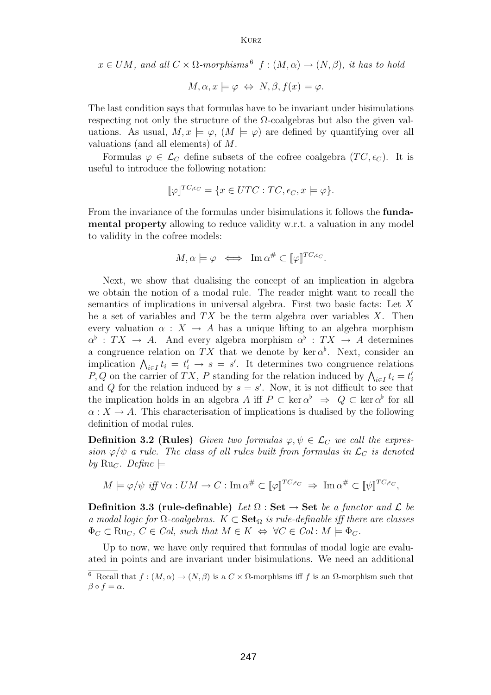Kurz

 $x \in UM$ *, and all*  $C \times \Omega$ -morphisms<sup>6</sup>  $f : (M, \alpha) \rightarrow (N, \beta)$ *, it has to hold* 

$$
M, \alpha, x \models \varphi \Leftrightarrow N, \beta, f(x) \models \varphi.
$$

The last condition says that formulas have to be invariant under bisimulations respecting not only the structure of the Ω-coalgebras but also the given valuations. As usual,  $M, x \models \varphi$ ,  $(M \models \varphi)$  are defined by quantifying over all valuations (and all elements) of M.

Formulas  $\varphi \in \mathcal{L}_C$  define subsets of the cofree coalgebra  $(TC, \epsilon_C)$ . It is useful to introduce the following notation:

$$
[\![\varphi]\!]^{TC,\epsilon_C} = \{x \in UTC : TC, \epsilon_C, x \models \varphi\}.
$$

From the invariance of the formulas under bisimulations it follows the **fundamental property** allowing to reduce validity w.r.t. a valuation in any model to validity in the cofree models:

$$
M, \alpha \models \varphi \iff \operatorname{Im} \alpha^{\#} \subset [\![\varphi]\!]^{TC, \epsilon_C}.
$$

Next, we show that dualising the concept of an implication in algebra we obtain the notion of a modal rule. The reader might want to recall the semantics of implications in universal algebra. First two basic facts: Let X be a set of variables and  $TX$  be the term algebra over variables X. Then every valuation  $\alpha : X \to A$  has a unique lifting to an algebra morphism  $\alpha^{\flat}$ :  $TX \to A$ . And every algebra morphism  $\alpha^{\flat}$ :  $TX \to A$  determines a congruence relation on TX that we denote by ker  $\alpha^{\flat}$ . Next, consider an<br>implication  $\Lambda$ ,  $t_{\cdot} = t' \rightarrow s = s'$ . It determines two congruence relations implication  $\bigwedge_{i \in I} t_i = t'_i \to s = s'$ . It determines two congruence relations  $P \bigcap$  on the carrier of  $TX$ . P standing for the relation induced by  $\bigwedge t_i = t'$ . P, Q on the carrier of TX, P standing for the relation induced by  $\bigwedge_{i \in I} t_i = t'_i$ <br>and O for the relation induced by  $s = s'$ . Now, it is not difficult to see that and Q for the relation induced by  $s = s'$ . Now, it is not difficult to see that<br>the implication holds in an algebra A iff  $P \subset \ker \alpha^{\flat} \longrightarrow Q \subset \ker \alpha^{\flat}$  for all the implication holds in an algebra A iff  $P \subset \text{ker } \alpha^{\flat} \Rightarrow Q \subset \text{ker } \alpha^{\flat}$  for all  $\alpha: X \to A$ . This characterisation of implications is dualised by the following definition of modal rules.

**Definition 3.2 (Rules)** *Given two formulas*  $\varphi, \psi \in \mathcal{L}_C$  *we call the expression*  $\varphi/\psi$  *a rule. The class of all rules built from formulas in*  $\mathcal{L}_C$  *is denoted*  $by \mathrm{Ru}_C$ *.* Define  $\models$ 

$$
M \models \varphi/\psi \text{ iff } \forall \alpha: UM \to C: \text{Im } \alpha^{\#} \subset [\![\varphi]\!]^{TC,\epsilon_C} \Rightarrow \text{Im } \alpha^{\#} \subset [\![\psi]\!]^{TC,\epsilon_C},
$$

**Definition 3.3 (rule-definable)** Let  $\Omega$ : Set  $\rightarrow$  Set be a functor and L be *a modal logic for* <sup>Ω</sup>*-coalgebras.* <sup>K</sup> <sup>⊂</sup> **Set**Ω *is rule-definable iff there are classes*  $\Phi_C \subset \text{Ru}_C, C \in Col$ , such that  $M \in K \Leftrightarrow \forall C \in Col : M \models \Phi_C$ .

Up to now, we have only required that formulas of modal logic are evaluated in points and are invariant under bisimulations. We need an additional <sup>6</sup> Recall that  $f:(M,\alpha)\to (N,\beta)$  is a  $C\times \Omega$ -morphisms iff f is an  $\Omega$ -morphism such that

 $\beta \circ f = \alpha$ .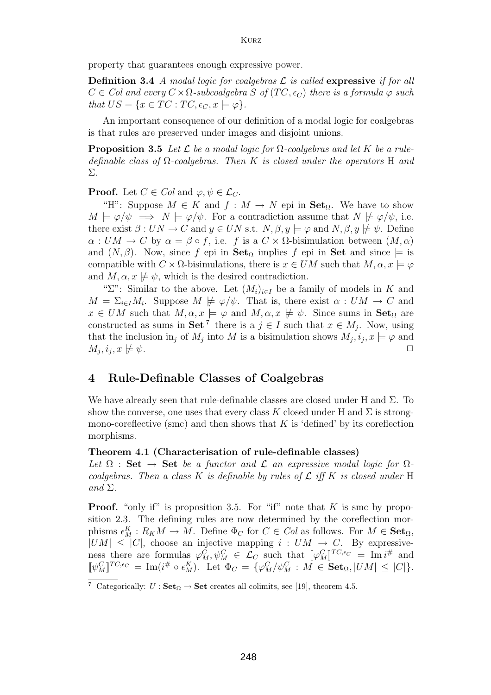property that guarantees enough expressive power.

**Definition 3.4** *A modal logic for coalgebras* L *is called* **expressive** *if for all*  $C \in Col$  and every  $C \times \Omega$ -subcoalgebra S of  $(TC, \epsilon_C)$  there is a formula  $\varphi$  such *that*  $US = \{x \in TC : TC, \epsilon_C, x \models \varphi\}.$ 

An important consequence of our definition of a modal logic for coalgebras is that rules are preserved under images and disjoint unions.

**Proposition 3.5** Let  $\mathcal{L}$  be a modal logic for  $\Omega$ -coalgebras and let K be a rule*definable class of* <sup>Ω</sup>*-coalgebras. Then* K *is closed under the operators* <sup>H</sup> *and* Σ*.*

**Proof.** Let  $C \in Col$  and  $\varphi, \psi \in \mathcal{L}_C$ .

"H": Suppose  $M \in K$  and  $f : M \to N$  epi in **Set**<sub>Q</sub>. We have to show  $M \models \varphi/\psi \implies N \models \varphi/\psi$ . For a contradiction assume that  $N \not\models \varphi/\psi$ , i.e. there exist  $\beta: UN \to C$  and  $y \in UN$  s.t.  $N, \beta, y \models \varphi$  and  $N, \beta, y \not\models \psi$ . Define  $\alpha: UM \to C$  by  $\alpha = \beta \circ f$ , i.e. f is a  $C \times \Omega$ -bisimulation between  $(M, \alpha)$ and  $(N, \beta)$ . Now, since f epi in **Set**<sub> $\Omega$ </sub> implies f epi in **Set** and since  $\models$  is compatible with  $C \times \Omega$ -bisimulations, there is  $x \in UM$  such that  $M, \alpha, x \models \varphi$ and  $M, \alpha, x \not\models \psi$ , which is the desired contradiction.

"Σ": Similar to the above. Let  $(M_i)_{i\in I}$  be a family of models in K and  $M = \Sigma_{i \in I} M_i$ . Suppose  $M \not\models \varphi/\psi$ . That is, there exist  $\alpha : UM \to C$  and  $x \in UM$  such that  $M, \alpha, x \models \varphi$  and  $M, \alpha, x \not\models \psi$ . Since sums in **Set**<sub>Q</sub> are constructed as sums in **Set**<sup>7</sup> there is a  $j \in I$  such that  $x \in M_j$ . Now, using that the inclusion in<sub>j</sub> of  $M_j$  into  $M$  is a bisimulation shows  $M_j, i_j, x \models \varphi$  and  $M_j, i_j, x \not\models \psi$ .  $M_j, i_j, x \not\models \psi.$ 

#### **4 Rule-Definable Classes of Coalgebras**

We have already seen that rule-definable classes are closed under H and  $\Sigma$ . To show the converse, one uses that every class K closed under H and  $\Sigma$  is strongmono-coreflective (smc) and then shows that  $K$  is 'defined' by its coreflection morphisms.

#### **Theorem 4.1 (Characterisation of rule-definable classes)**

Let  $\Omega$  : Set  $\rightarrow$  Set *be a functor and*  $\mathcal L$  *an expressive modal logic for*  $\Omega$ *coalgebras. Then a class* K *is definable by rules of* <sup>L</sup> *iff* K *is closed under* <sup>H</sup> *and* Σ*.*

**Proof.** "only if" is proposition 3.5. For "if" note that  $K$  is smc by proposition 2.3. The defining rules are now determined by the coreflection morphisms  $\epsilon_M^K : R_K M \to M$ . Define  $\Phi_C$  for  $C \in Col$  as follows. For  $M \in \mathbf{Set}_{\Omega}$ ,<br> $|I/M| \leq |C|$ , choose an injective mapping  $i : I/M \to C$ . By expressive- $|UM| \leq |C|$ , choose an injective mapping  $i : UM \rightarrow C$ . By expressiveness there are formulas  $\varphi_M^C, \psi_M^C \in \mathcal{L}_C$  such that  $[\![\varphi_M^C]\!]^{TC,\epsilon_C} = \text{Im } i^{\#}$  and  $[\![\varphi_M^C]\!]^{TC,\epsilon_C} = \text{Im } i^{\#}$  and  $[\![\varphi_M^C]\!]^{TC,\epsilon_C} = \text{Im } i^{\#}$  and  $[\![\varphi_M^C]\!]^{TC,\epsilon_C} = \text{Im } i^{\#}$  and  $[\![\psi_M^C]\!]^{TC,\epsilon_C} = \text{Im}(i^{\#} \circ \epsilon_M^K)$ . Let  $\Phi_C = {\{\varphi_M^C/\psi_M^C : M \in \mathbf{Set}_{\Omega}, |UM| \leq |C| \}}$ .

<sup>&</sup>lt;sup>7</sup> Categorically:  $U : \mathbf{Set}_{\Omega} \to \mathbf{Set}$  creates all colimits, see [19], theorem 4.5.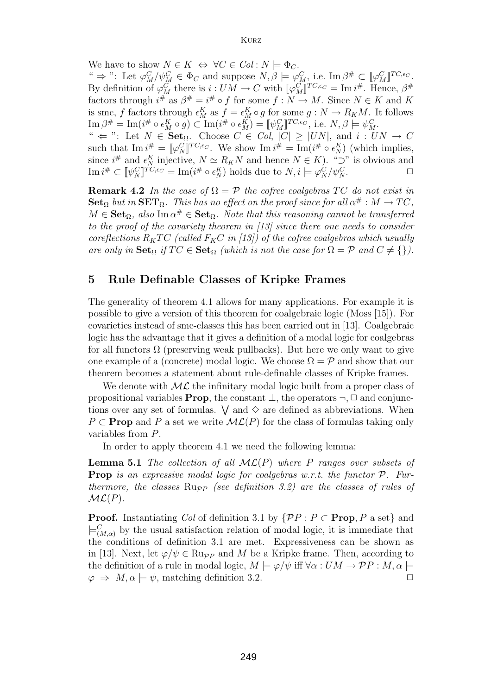We have to show  $N \in K \Leftrightarrow \forall C \in Col : N \models \Phi_C$ . "  $\Rightarrow$  ": Let  $\varphi_M^C/\psi_M^C \in \Phi_C$  and suppose  $N, \beta \models \varphi_M^C$ , i.e.  $\text{Im } \beta^{\#} \subset [\![\varphi_M^C]\!]^{TC, \epsilon_C}$ .<br>By definition of  $\varphi_C^C$  there is  $i : IIM \to C$  with  $[\![\varphi_C^C]\!]^{TC, \epsilon_C} = \text{Im } i^{\#}$ . Hence  $\beta^{\#}$ By definition of  $\varphi_M^C$  there is  $i: UM \to C$  with  $[\![\varphi_M^C]\!]^{TC,\epsilon_C} = \text{Im } i^{\#}$ . Hence,  $\beta^{\#}$ <br>factors through  $i^{\#}$  as  $\beta^{\#} = i^{\#}$  of for some  $f: N \to M$ . Since  $N \in K$  and K factors through  $i^{\#}$  as  $\beta^{\#} = i^{\#} \circ f$  for some  $f : N \to M$ . Since  $N \in K$  and K is sme, f factors through  $\epsilon^{K}$  as  $f = \epsilon^{K} \circ g$  for some  $g : N \to R \circ M$ . It follows is smc, f factors through  $\epsilon_M^K$  as  $f = \epsilon_M^K \circ g$  for some  $g : N \to R_KM$ . It follows<br>  $\text{Im } \beta^{\#} = \text{Im}(i^{\#} \circ \epsilon^K \circ g) \subset \text{Im}(i^{\#} \circ \epsilon^K) = \mathbb{I}_{g} \circ C \text{Tr} C_{g} \epsilon_{G}$  i.o.  $N \circ \beta = \mathbb{I}_{g} \circ C$  $\text{Im}\,\beta^{\#} = \text{Im}(i^{\#} \circ \epsilon_M^K \circ g) \subset \text{Im}(i^{\#} \circ \epsilon_M^K) = [\![\psi_M^C]\!]^{TC,\epsilon_C}, \text{ i.e. } N, \beta \models \psi_M^C.$ <br>" $\leftarrow$  ": Let  $N \in \text{Set}_{\geq 0}$ . Choose  $C \in \text{Col}$ .  $|C| \geq |I/N|$ , and  $i \in U$ . "  $\Leftarrow$  ": Let  $N \in \mathbf{Set}_{\Omega}$ . Choose  $C \in Col$ ,  $|C| \geq |UN|$ , and  $i : UN \to C$ such that  $\text{Im } i^{\#} = [\![\varphi_N^C]\!]^{TC,\epsilon_C}$ . We show  $\text{Im } i^{\#} = \text{Im}(i^{\#} \circ \epsilon_N^K)$ <br>since  $i^{\#}$  and  $\epsilon^K$  injective  $N \sim R_{\kappa} N$  and hence  $N \in K$ such that  $\text{Im } i^{\#} = [\![\varphi_N^C]\!]^{TC,\epsilon_C}$ . We show  $\text{Im } i^{\#} = \text{Im}(i^{\#} \circ \epsilon_N^K)$  (which implies, since  $i^{\#}$  and  $\epsilon_N^K$  injective,  $N \simeq R_KN$  and hence  $N \in K$ ). " $\supset$ " is obvious and<br>  $\lim_{\phi \to 0^+} i^{\#} \subset \mathbb{R}^{n \times n}$  is  $\sup_{\phi \in K} \epsilon_N = \lim_{\phi \to 0^+} i^{\#} \circ \epsilon_N^K$ ) holds due to  $N_i \models \varphi \circ \epsilon_{n \to \infty}^C$  $\text{Im } i^{\#} \subset [\![\psi_N^C]\!]^{TC,\epsilon_C} = \text{Im}(i^{\#} \circ \epsilon_N^K) \text{ holds due to } N, i \models \varphi_N^C/\psi_N^C.$ 

**Remark 4.2** *In the case of*  $\Omega = \mathcal{P}$  *the cofree coalgebras* TC *do not exist in* **Set**<sub>Ω</sub> *but in* **SET**<sub>Ω</sub>*. This has no effect on the proof since for all*  $\alpha^{\#}: M \to TC$ *,*  $M \in \mathbf{Set}_{\Omega}$ , also Im  $\alpha^{\#} \in \mathbf{Set}_{\Omega}$ . Note that this reasoning cannot be transferred *to the proof of the covariety theorem in [13] since there one needs to consider coreflections*  $R_KTC$  *(called*  $F_KC$  *in [13]) of the cofree coalgebras which usually are only in*  $\textbf{Set}_{\Omega}$  *if*  $TC \in \textbf{Set}_{\Omega}$  *(which is not the case for*  $\Omega = \mathcal{P}$  *and*  $C \neq \{\}$ ).

#### **5 Rule Definable Classes of Kripke Frames**

The generality of theorem 4.1 allows for many applications. For example it is possible to give a version of this theorem for coalgebraic logic (Moss [15]). For covarieties instead of smc-classes this has been carried out in [13]. Coalgebraic logic has the advantage that it gives a definition of a modal logic for coalgebras for all functors  $\Omega$  (preserving weak pullbacks). But here we only want to give one example of a (concrete) modal logic. We choose  $\Omega = \mathcal{P}$  and show that our theorem becomes a statement about rule-definable classes of Kripke frames.

We denote with  $ML$  the infinitary modal logic built from a proper class of propositional variables **Prop**, the constant  $\bot$ , the operators  $\neg$ ,  $\Box$  and conjunctions over any set of formulas.  $\vee$  and  $\diamond$  are defined as abbreviations. When  $P \subset \textbf{Prop}$  and P a set we write  $ML(P)$  for the class of formulas taking only variables from P.

In order to apply theorem 4.1 we need the following lemma:

**Lemma 5.1** *The collection of all* ML(P) *where* P *ranges over subsets of* **Prop** *is an expressive modal logic for coalgebras w.r.t. the functor* P*. Furthermore, the classes*  $\text{Rupp}$  *(see definition 3.2)* are the classes of rules of  $ML(P)$ *.* 

**Proof.** Instantiating *Col* of definition 3.1 by  $\{PP : P \subset \textbf{Prop}, P \text{ a set}\}\$ and  $\models^C_{(M,\alpha)}$  by the usual satisfaction relation of modal logic, it is immediate that the conditions of definition 3.1 are met. Expressiveness can be shown as the conditions of definition 3.1 are met. Expressiveness can be shown as in [13]. Next, let  $\varphi/\psi \in \text{Ru}_{PP}$  and M be a Kripke frame. Then, according to the definition of a rule in modal logic,  $M \models \varphi/\psi$  iff  $\forall \alpha : UM \rightarrow \mathcal{P}P : M, \alpha \models \varphi \Rightarrow M, \alpha \models \psi$  matching definition 3.2  $\varphi \Rightarrow M, \alpha \models \psi$ , matching definition 3.2.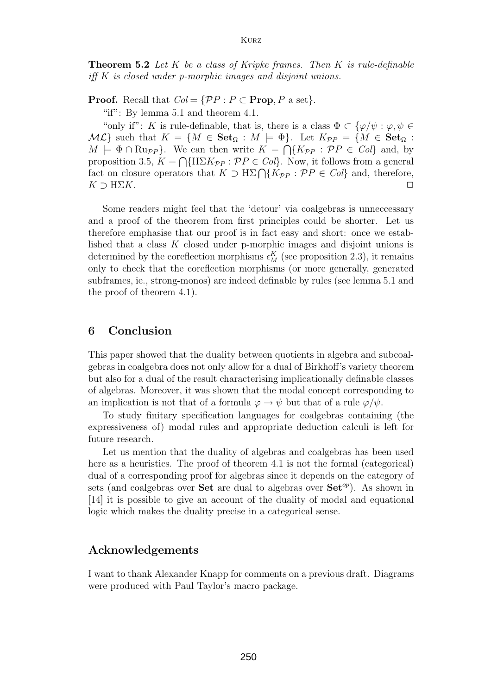**Theorem 5.2** *Let* K *be a class of Kripke frames. Then* K *is rule-definable iff* K *is closed under p-morphic images and disjoint unions.*

**Proof.** Recall that  $Col = \{PP : P \subset \textbf{Prop}, P \text{ a set}\}.$ 

"if": By lemma 5.1 and theorem 4.1.

"only if": K is rule-definable, that is, there is a class  $\Phi \subset {\varphi/\psi : \varphi, \psi \in \mathbb{R}^2}$  $M\mathcal{L}$  such that  $K = \{M \in \mathbf{Set}_{\Omega} : M \models \Phi\}$ . Let  $K_{\mathcal{P}P} = \{M \in \mathbf{Set}_{\Omega} : \emptyset\}$  $M \models \Phi \cap \text{Rupp}.$  We can then write  $K = \bigcap \{K_{\mathcal{P}P} : \mathcal{P}P \in Col\}$  and, by proposition 3.5,  $K = \bigcap \{H\Sigma K_{\mathcal{P}P} : \mathcal{P}P \in Col\}$ . Now, it follows from a general fact on closure operators that  $K \supset \text{H}\Sigma \bigcap \{K_{\mathcal{P}P} : \mathcal{P}P \in Col\}$  and, therefore,  $K \supset \text{H}\Sigma K$ .  $\Box$  $K \supset \text{H}\Sigma K$ .

Some readers might feel that the 'detour' via coalgebras is unnecessary and a proof of the theorem from first principles could be shorter. Let us therefore emphasise that our proof is in fact easy and short: once we established that a class K closed under p-morphic images and disjoint unions is determined by the coreflection morphisms  $\epsilon_M^K$  (see proposition 2.3), it remains<br>only to check that the coreflection morphisms (or more generally generated only to check that the coreflection morphisms (or more generally, generated subframes, ie., strong-monos) are indeed definable by rules (see lemma 5.1 and the proof of theorem 4.1).

#### **6 Conclusion**

This paper showed that the duality between quotients in algebra and subcoalgebras in coalgebra does not only allow for a dual of Birkhoff's variety theorem but also for a dual of the result characterising implicationally definable classes of algebras. Moreover, it was shown that the modal concept corresponding to an implication is not that of a formula  $\varphi \to \psi$  but that of a rule  $\varphi/\psi$ .

To study finitary specification languages for coalgebras containing (the expressiveness of) modal rules and appropriate deduction calculi is left for future research.

Let us mention that the duality of algebras and coalgebras has been used here as a heuristics. The proof of theorem 4.1 is not the formal (categorical) dual of a corresponding proof for algebras since it depends on the category of sets (and coalgebras over **Set** are dual to algebras over  $\mathbf{Set}^{op}$ ). As shown in [14] it is possible to give an account of the duality of modal and equational logic which makes the duality precise in a categorical sense.

#### **Acknowledgements**

I want to thank Alexander Knapp for comments on a previous draft. Diagrams were produced with Paul Taylor's macro package.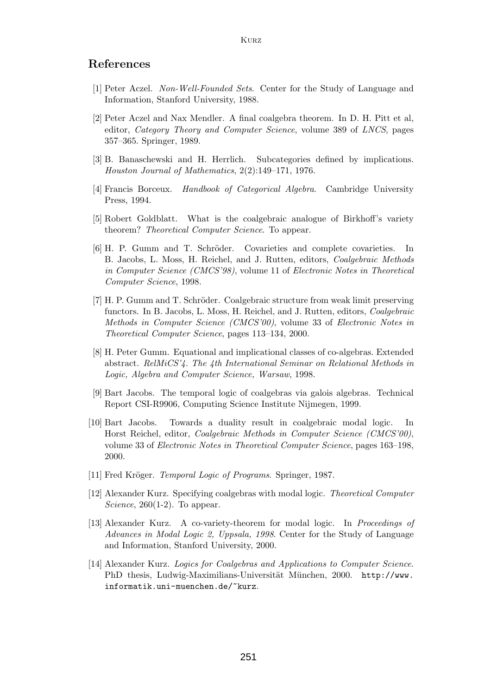#### **References**

- [1] Peter Aczel. *Non-Well-Founded Sets*. Center for the Study of Language and Information, Stanford University, 1988.
- [2] Peter Aczel and Nax Mendler. A final coalgebra theorem. In D. H. Pitt et al, editor, *Category Theory and Computer Science*, volume 389 of *LNCS*, pages 357–365. Springer, 1989.
- [3] B. Banaschewski and H. Herrlich. Subcategories defined by implications. *Houston Journal of Mathematics*, 2(2):149–171, 1976.
- [4] Francis Borceux. *Handbook of Categorical Algebra*. Cambridge University Press, 1994.
- [5] Robert Goldblatt. What is the coalgebraic analogue of Birkhoff's variety theorem? *Theoretical Computer Science*. To appear.
- [6] H. P. Gumm and T. Schröder. Covarieties and complete covarieties. In B. Jacobs, L. Moss, H. Reichel, and J. Rutten, editors, *Coalgebraic Methods in Computer Science (CMCS'98)*, volume 11 of *Electronic Notes in Theoretical Computer Science*, 1998.
- [7] H. P. Gumm and T. Schröder. Coalgebraic structure from weak limit preserving functors. In B. Jacobs, L. Moss, H. Reichel, and J. Rutten, editors, *Coalgebraic Methods in Computer Science (CMCS'00)*, volume 33 of *Electronic Notes in Theoretical Computer Science*, pages 113–134, 2000.
- [8] H. Peter Gumm. Equational and implicational classes of co-algebras. Extended abstract. *RelMiCS'4. The 4th International Seminar on Relational Methods in Logic, Algebra and Computer Science, Warsaw*, 1998.
- [9] Bart Jacobs. The temporal logic of coalgebras via galois algebras. Technical Report CSI-R9906, Computing Science Institute Nijmegen, 1999.
- [10] Bart Jacobs. Towards a duality result in coalgebraic modal logic. In Horst Reichel, editor, *Coalgebraic Methods in Computer Science (CMCS'00)*, volume 33 of *Electronic Notes in Theoretical Computer Science*, pages 163–198, 2000.
- [11] Fred Kröger. *Temporal Logic of Programs*. Springer, 1987.
- [12] Alexander Kurz. Specifying coalgebras with modal logic. *Theoretical Computer Science*, 260(1-2). To appear.
- [13] Alexander Kurz. A co-variety-theorem for modal logic. In *Proceedings of Advances in Modal Logic 2, Uppsala, 1998*. Center for the Study of Language and Information, Stanford University, 2000.
- [14] Alexander Kurz. *Logics for Coalgebras and Applications to Computer Science*. PhD thesis, Ludwig-Maximilians-Universität München, 2000. http://www. informatik.uni-muenchen.de/~kurz.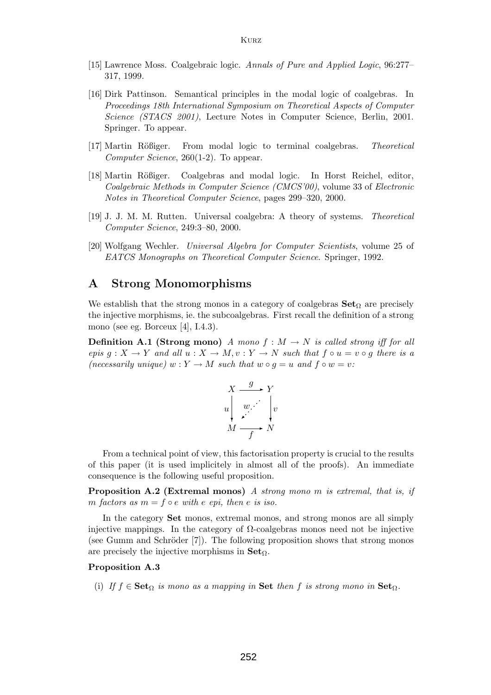- [15] Lawrence Moss. Coalgebraic logic. *Annals of Pure and Applied Logic*, 96:277– 317, 1999.
- [16] Dirk Pattinson. Semantical principles in the modal logic of coalgebras. In *Proceedings 18th International Symposium on Theoretical Aspects of Computer Science (STACS 2001)*, Lecture Notes in Computer Science, Berlin, 2001. Springer. To appear.
- [17] Martin R¨oßiger. From modal logic to terminal coalgebras. *Theoretical Computer Science*, 260(1-2). To appear.
- [18] Martin Rößiger. Coalgebras and modal logic. In Horst Reichel, editor, *Coalgebraic Methods in Computer Science (CMCS'00)*, volume 33 of *Electronic Notes in Theoretical Computer Science*, pages 299–320, 2000.
- [19] J. J. M. M. Rutten. Universal coalgebra:A theory of systems. *Theoretical Computer Science*, 249:3–80, 2000.
- [20] Wolfgang Wechler. *Universal Algebra for Computer Scientists*, volume 25 of *EATCS Monographs on Theoretical Computer Science*. Springer, 1992.

#### **A Strong Monomorphisms**

We establish that the strong monos in a category of coalgebras  $\textbf{Set}_{\Omega}$  are precisely the injective morphisms, ie. the subcoalgebras. First recall the definition of a strong mono (see eg. Borceux [4], I.4.3).

**Definition A.1 (Strong mono)** *A mono*  $f : M \rightarrow N$  *is called strong iff for all epis*  $g: X \to Y$  *and all*  $u: X \to M$ ,  $v: Y \to N$  *such that*  $f \circ u = v \circ g$  *there is a (necessarily unique)*  $w: Y \to M$  *such that*  $w \circ q = u$  *and*  $f \circ w = v$ :



From a technical point of view, this factorisation property is crucial to the results of this paper (it is used implicitely in almost all of the proofs). An immediate consequence is the following useful proposition.

**Proposition A.2 (Extremal monos)** *A strong mono* m *is extremal, that is, if* m *factors* as  $m = f \circ e$  *with*  $e$  *epi, then*  $e$  *is iso.* 

In the category **Set** monos, extremal monos, and strong monos are all simply injective mappings. In the category of  $\Omega$ -coalgebras monos need not be injective (see Gumm and Schröder  $[7]$ ). The following proposition shows that strong monos are precisely the injective morphisms in **Set** $\Omega$ .<br>**Proposition A.3** 

### **Proposition A.3**

(i) *If*  $f \in \mathbf{Set}_{\Omega}$  *is mono as a mapping in* **Set** *then*  $f$  *is strong mono in*  $\mathbf{Set}_{\Omega}$ *.*